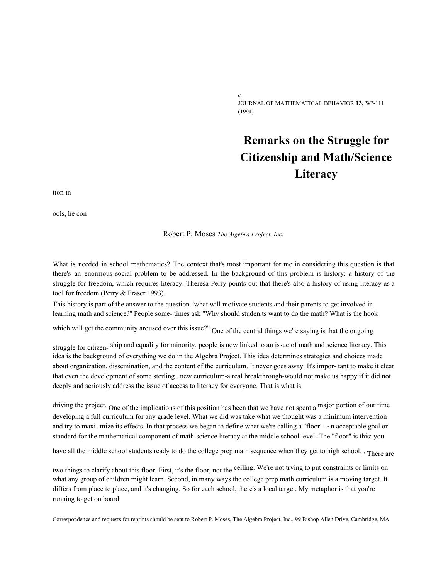JOURNAL OF MATHEMATICAL BEHAVIOR **13,** W?-111 (1994)

# **Remarks on the Struggle for Citizenship and Math/Science Literacy**

tion in

ools, he con

Robert P. Moses *The Algebra Project, Inc.*

*e,*

What is needed in school mathematics? The context that's most important for me in considering this question is that there's an enormous social problem to be addressed. In the background of this problem is history: a history of the struggle for freedom, which requires literacy. Theresa Perry points out that there's also a history of using literacy as a tool for freedom (Perry & Fraser 1993).

This history is part of the answer to the question "what will motivate students and their parents to get involved in learning math and science?'' People some- times ask "Why should studen.ts want to do the math? What is the hook

which will get the community aroused over this issue?" One of the central things we're saying is that the ongoing

struggle for citizen-ship and equality for minority. people is now linked to an issue of math and science literacy. This idea is the background of everything we do in the Algebra Project. This idea determines strategies and choices made about organization, dissemination, and the content of the curriculum. It never goes away. It's impor- tant to make it clear that even the development of some sterling . new curriculum-a real breakthrough-would not make us happy if it did not deeply and seriously address the issue of access to literacy for everyone. That is what is

driving the project. One of the implications of this position has been that we have not spent a major portion of our time developing a full curriculum for any grade level. What we did was take what we thought was a minimum intervention and try to maxi- mize its effects. In that process we began to define what we're calling a "floor"- ~n acceptable goal or standard for the mathematical component of math-science literacy at the middle school leveL The "floor" is this: you

have all the middle school students ready to do the college prep math sequence when they get to high school. , There are

two things to clarify about this floor. First, it's the floor, not the ceiling. We're not trying to put constraints or limits on what any group of children might learn. Second, in many ways the college prep math curriculum is a moving target. It differs from place to place, and it's changing. So for each school, there's a local target. My metaphor is that you're running to get on board·

Correspondence and requests for reprints should be sent to Robert P. Moses, The Algebra Project, Inc., 99 Bishop Allen Drive, Cambridge, MA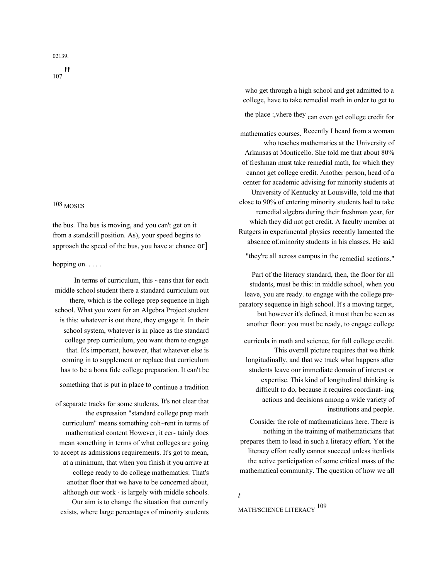#### 02139.

107 "

#### 108 MOSES

the bus. The bus is moving, and you can't get on it from a standstill position. As), your speed begins to approach the speed of the bus, you have a chance  $\text{or}$ ]

#### hopping on. . . . .

In terms of curriculum, this  $\sim$ eans that for each middle school student there a standard curriculum out there, which is the college prep sequence in high school. What you want for an Algebra Project student is this: whatever is out there, they engage it. In their school system, whatever is in place as the standard college prep curriculum, you want them to engage that. It's important, however, that whatever else is coming in to supplement or replace that curriculum has to be a bona fide college preparation. It can't be

## something that is put in place to continue a tradition

of separate tracks for some students. It's not clear that the expression "standard college prep math curriculum" means something coh~rent in terms of mathematical content However, it cer- tainly does mean something in terms of what colleges are going to accept as admissions requirements. It's got to mean, at a minimum, that when you finish it you arrive at college ready to do college mathematics: That's another floor that we have to be concerned about, although our work  $\cdot$  is largely with middle schools. Our aim is to change the situation that currently exists, where large percentages of minority students

who get through a high school and get admitted to a college, have to take remedial math in order to get to

## the place :,vhere they can even get college credit for

mathematics courses. Recently I heard from a woman who teaches mathematics at the University of Arkansas at Monticello. She told me that about 80% of freshman must take remedial math, for which they cannot get college credit. Another person, head of a center for academic advising for minority students at University of Kentucky at Louisville, told me that close to 90% of entering minority students had to take remedial algebra during their freshman year, for which they did not get credit. A faculty member at Rutgers in experimental physics recently lamented the absence of.minority students in his classes. He said

"they're all across campus in the remedial sections."

Part of the literacy standard, then, the floor for all students, must be this: in middle school, when you leave, you are ready. to engage with the college preparatory sequence in high school. It's a moving target, but however it's defined, it must then be seen as another floor: you must be ready, to engage college

curricula in math and science, for full college credit. This overall picture requires that we think longitudinally, and that we track what happens after students leave our immediate domain of interest or expertise. This kind of longitudinal thinking is difficult to do, because it requires coordinat- ing actions and decisions among a wide variety of institutions and people.

Consider the role of mathematicians here. There is nothing in the training of mathematicians that prepares them to lead in such a literacy effort. Yet the literacy effort really cannot succeed unless itenlists the active participation of some critical mass of the mathematical community. The question of how we all

*t*

MATH/SCIENCE LITERACY 109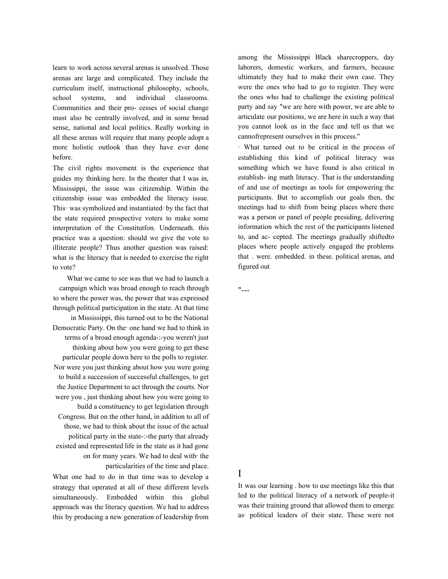learn to work across several arenas is unsolved. Those arenas are large and complicated. They include the curriculum itself, instructional philosophy, schools, school systems, and individual classrooms. Communities and their pro- cesses of social change must also be centrally involved, and in some broad sense, national and local politics. Really working in all these arenas will require that many people adopt a more holistic outlook than they have ever done before.

The civil rights movement is the experience that guides my thinking here. In the theater that I was in, Mississippi, the issue was citizenship. Within the citizenship issue was embedded the literacy issue. This· was symbolized and instantiated· by the fact that the state required prospective voters to make some interpretation of the Constitutfon. Underneath. this practice was a question: should we give the vote to illiterate people? Thus another question was raised: what is the literacy that is needed to exercise the right to vote?

What we came to see was that we had to launch a campaign which was broad enough to reach through to where the power was, the power that was expressed through political participation in the state. At that time in Mississippi, this turned out to be the National Democratic Party. On the· one hand we had to think in terms of a broad enough agenda-:-you weren't just thinking about how you were going to get these particular people down here to the polls to register. Nor were you just thinking about how you were going to build a succession of successful challenges, to get the Justice Department to act through the courts. Nor were you , just thinking about how you were going to build a constituency to get legislation through Congress. But on the other hand, in addition to all of those, we had to think about the issue of the actual political party in the state-:-the party that already existed and represented life in the state as it had gone on for many years. We had to deal with· the particularities of the time and place.

What one had to do in that time was to develop a strategy that operated at all of these different levels simultaneously. Embedded within this global approach was the literacy question. We had to address this by producing a new generation of leadership from among the Mississippi Black sharecroppers, day laborers, domestic workers, and farmers, because ultimately they had to make their own case. They were the ones who had to go to register. They were the ones who had to challenge the existing political party and say "we are here with power, we are able to articulate our positions, we are here in such a way that you cannot look us in the face and tell us that we cannofrepresent ourselves in this process."

· What turned out to be critical in the process of establishing this kind of political literacy was something which we have found is also critical in establish- ing math literacy. That is the understanding of and use of meetings as tools for empowering the participants. But to accomplish our goals then, the meetings had to shift from being places where there was a person or panel of people presiding, delivering information which the rest of the participants listened to, and ac- cepted. The meetings gradually shiftedto places where people actively engaged the problems that . were. embedded. in these. political arenas, and figured out

 $"$ 

### I

It was our learning . how to use meetings like this that led to the political literacy of a network of people-it was their training ground that allowed them to emerge as· political leaders of their state. These were not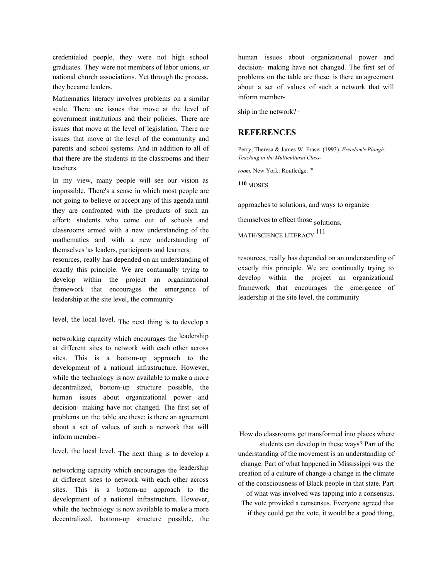credentialed people, they were not high school graduates. They were not members of labor unions, or national church associations. Yet through the process, they became leaders.

Mathematics literacy involves problems on a similar scale. There are issues that move at the level of government institutions and their policies. There are issues that move at the level of legislation. There are issues that move at the level of the community and parents and school systems. And in addition to all of that there are the students in the classrooms and their teachers.

In my view, many people will see our vision as impossible. There's a sense in which most people are not going to believe or accept any of this agenda until they are confronted with the products of such an effort: students who come out of schools and classrooms armed with a new understanding of the mathematics and with a new understanding of themselves 'as leaders, participants and learners.

resources, really has depended on an understanding of exactly this principle. We are continually trying to develop within the project an organizational framework that encourages the emergence of leadership at the site level, the community

## level, the local level. The next thing is to develop a

networking capacity which encourages the leadership at different sites to network with each other across sites. This is a bottom-up approach to the development of a national infrastructure. However, while the technology is now available to make a more decentralized, bottom-up structure possible, the human issues about organizational power and decision- making have not changed. The first set of problems on the table are these: is there an agreement about a set of values of such a network that will inform member-

level, the local level. The next thing is to develop a

networking capacity which encourages the leadership at different sites to network with each other across sites. This is a bottom-up approach to the development of a national infrastructure. However, while the technology is now available to make a more decentralized, bottom-up structure possible, the

human issues about organizational power and decision- making have not changed. The first set of problems on the table are these: is there an agreement about a set of values of such a network that will inform member-

ship in the network?  $\cdot$ 

#### **REFERENCES**

Perry, Theresa & James W. Fraser (1993). *Freedom's Plough: Teaching in the Multicultural Class-*

*room.* New York: Routledge. '°

**110** MOSES

approaches to solutions, and ways to organize

themselves to effect those solutions.

MATH/SCIENCE LITERACY 111

resources, really has depended on an understanding of exactly this principle. We are continually trying to develop within the project an organizational framework that encourages the emergence of leadership at the site level, the community

How do classrooms get transformed into places where students can develop in these ways? Part of the understanding of the movement is an understanding of change. Part of what happened in Mississippi was the creation of a culture of change-a change in the climate of the consciousness of Black people in that state. Part of what was involved was tapping into a consensus. The vote provided a consensus. Everyone agreed that if they could get the vote, it would be a good thing,